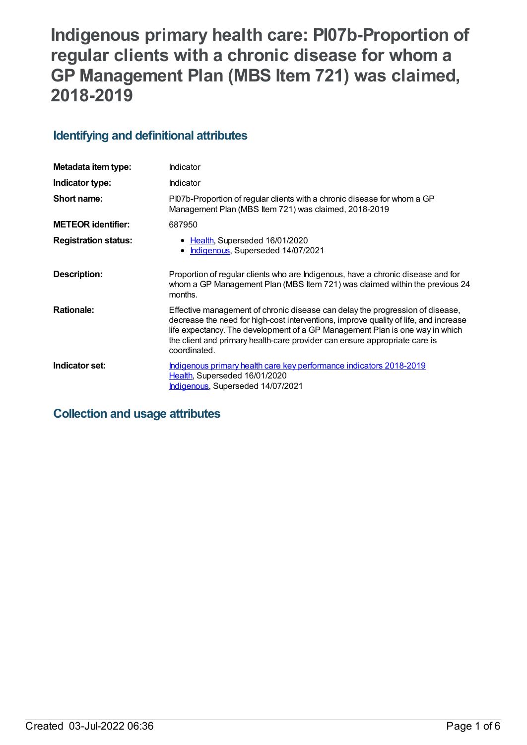# **Indigenous primary health care: PI07b-Proportion of regular clients with a chronic disease for whom a GP Management Plan (MBS Item 721) was claimed, 2018-2019**

# **Identifying and definitional attributes**

| Metadata item type:         | Indicator                                                                                                                                                                                                                                                                                                                                           |
|-----------------------------|-----------------------------------------------------------------------------------------------------------------------------------------------------------------------------------------------------------------------------------------------------------------------------------------------------------------------------------------------------|
| Indicator type:             | Indicator                                                                                                                                                                                                                                                                                                                                           |
| Short name:                 | PI07b-Proportion of regular clients with a chronic disease for whom a GP<br>Management Plan (MBS Item 721) was claimed, 2018-2019                                                                                                                                                                                                                   |
| <b>METEOR identifier:</b>   | 687950                                                                                                                                                                                                                                                                                                                                              |
| <b>Registration status:</b> | • Health, Superseded 16/01/2020<br>Indigenous, Superseded 14/07/2021                                                                                                                                                                                                                                                                                |
| Description:                | Proportion of regular clients who are Indigenous, have a chronic disease and for<br>whom a GP Management Plan (MBS Item 721) was claimed within the previous 24<br>months.                                                                                                                                                                          |
| <b>Rationale:</b>           | Effective management of chronic disease can delay the progression of disease,<br>decrease the need for high-cost interventions, improve quality of life, and increase<br>life expectancy. The development of a GP Management Plan is one way in which<br>the client and primary health-care provider can ensure appropriate care is<br>coordinated. |
| Indicator set:              | Indigenous primary health care key performance indicators 2018-2019<br>Health, Superseded 16/01/2020<br>Indigenous, Superseded 14/07/2021                                                                                                                                                                                                           |

# **Collection and usage attributes**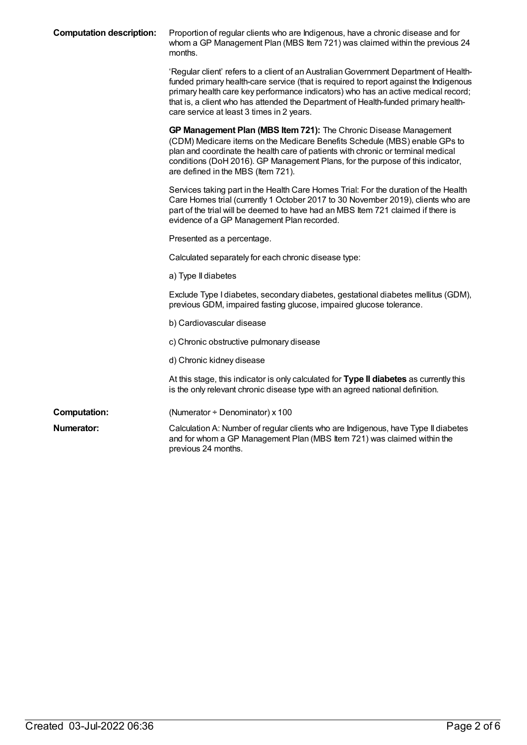| <b>Computation description:</b> | Proportion of regular clients who are Indigenous, have a chronic disease and for<br>whom a GP Management Plan (MBS Item 721) was claimed within the previous 24<br>months.                                                                                                                                                                                                                             |
|---------------------------------|--------------------------------------------------------------------------------------------------------------------------------------------------------------------------------------------------------------------------------------------------------------------------------------------------------------------------------------------------------------------------------------------------------|
|                                 | 'Regular client' refers to a client of an Australian Government Department of Health-<br>funded primary health-care service (that is required to report against the Indigenous<br>primary health care key performance indicators) who has an active medical record;<br>that is, a client who has attended the Department of Health-funded primary health-<br>care service at least 3 times in 2 years. |
|                                 | GP Management Plan (MBS Item 721): The Chronic Disease Management<br>(CDM) Medicare items on the Medicare Benefits Schedule (MBS) enable GPs to<br>plan and coordinate the health care of patients with chronic or terminal medical<br>conditions (DoH 2016). GP Management Plans, for the purpose of this indicator,<br>are defined in the MBS (Item 721).                                            |
|                                 | Services taking part in the Health Care Homes Trial: For the duration of the Health<br>Care Homes trial (currently 1 October 2017 to 30 November 2019), clients who are<br>part of the trial will be deemed to have had an MBS Item 721 claimed if there is<br>evidence of a GP Management Plan recorded.                                                                                              |
|                                 | Presented as a percentage.                                                                                                                                                                                                                                                                                                                                                                             |
|                                 | Calculated separately for each chronic disease type:                                                                                                                                                                                                                                                                                                                                                   |
|                                 | a) Type II diabetes                                                                                                                                                                                                                                                                                                                                                                                    |
|                                 | Exclude Type I diabetes, secondary diabetes, gestational diabetes mellitus (GDM),<br>previous GDM, impaired fasting glucose, impaired glucose tolerance.                                                                                                                                                                                                                                               |
|                                 | b) Cardiovascular disease                                                                                                                                                                                                                                                                                                                                                                              |
|                                 | c) Chronic obstructive pulmonary disease                                                                                                                                                                                                                                                                                                                                                               |
|                                 | d) Chronic kidney disease                                                                                                                                                                                                                                                                                                                                                                              |
|                                 | At this stage, this indicator is only calculated for Type II diabetes as currently this<br>is the only relevant chronic disease type with an agreed national definition.                                                                                                                                                                                                                               |
| <b>Computation:</b>             | (Numerator ÷ Denominator) x 100                                                                                                                                                                                                                                                                                                                                                                        |
| Numerator:                      | Calculation A: Number of regular clients who are Indigenous, have Type II diabetes<br>and for whom a GP Management Plan (MBS Item 721) was claimed within the<br>previous 24 months.                                                                                                                                                                                                                   |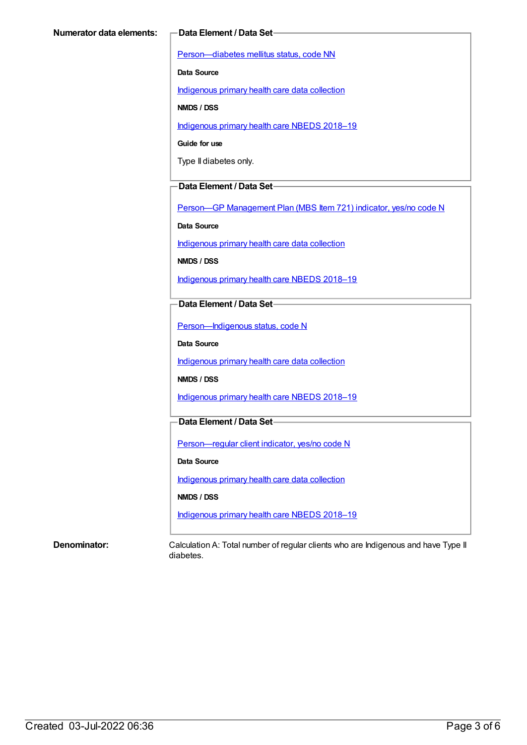[Person—diabetes](https://meteor.aihw.gov.au/content/270194) mellitus status, code NN

**Data Source**

[Indigenous](https://meteor.aihw.gov.au/content/430643) primary health care data collection

**NMDS / DSS**

[Indigenous](https://meteor.aihw.gov.au/content/694101) primary health care NBEDS 2018-19

**Guide for use**

Type II diabetes only.

#### **Data Element / Data Set**

Person-GP [Management](https://meteor.aihw.gov.au/content/504966) Plan (MBS Item 721) indicator, yes/no code N

**Data Source**

[Indigenous](https://meteor.aihw.gov.au/content/430643) primary health care data collection

**NMDS / DSS**

[Indigenous](https://meteor.aihw.gov.au/content/694101) primary health care NBEDS 2018–19

#### **Data Element / Data Set**

[Person—Indigenous](https://meteor.aihw.gov.au/content/602543) status, code N

**Data Source**

[Indigenous](https://meteor.aihw.gov.au/content/430643) primary health care data collection

**NMDS / DSS**

[Indigenous](https://meteor.aihw.gov.au/content/694101) primary health care NBEDS 2018-19

### **Data Element / Data Set**

[Person—regular](https://meteor.aihw.gov.au/content/686291) client indicator, yes/no code N

**Data Source**

[Indigenous](https://meteor.aihw.gov.au/content/430643) primary health care data collection

**NMDS / DSS**

[Indigenous](https://meteor.aihw.gov.au/content/694101) primary health care NBEDS 2018–19

**Denominator:** Calculation A: Total number of regular clients who are Indigenous and have Type II diabetes.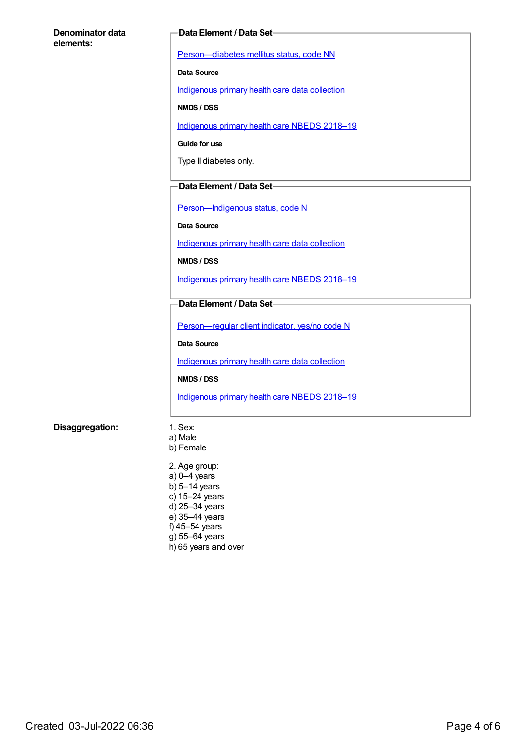#### **Denominator data elements:**

#### **Data Element / Data Set**

[Person—diabetes](https://meteor.aihw.gov.au/content/270194) mellitus status, code NN

**Data Source**

[Indigenous](https://meteor.aihw.gov.au/content/430643) primary health care data collection

**NMDS / DSS**

[Indigenous](https://meteor.aihw.gov.au/content/694101) primary health care NBEDS 2018-19

**Guide for use**

Type II diabetes only.

#### **Data Element / Data Set**

[Person—Indigenous](https://meteor.aihw.gov.au/content/602543) status, code N

**Data Source**

[Indigenous](https://meteor.aihw.gov.au/content/430643) primary health care data collection

**NMDS / DSS**

[Indigenous](https://meteor.aihw.gov.au/content/694101) primary health care NBEDS 2018–19

#### **Data Element / Data Set**

[Person—regular](https://meteor.aihw.gov.au/content/686291) client indicator, yes/no code N

**Data Source**

[Indigenous](https://meteor.aihw.gov.au/content/430643) primary health care data collection

**NMDS / DSS**

[Indigenous](https://meteor.aihw.gov.au/content/694101) primary health care NBEDS 2018-19

#### **Disaggregation:** 1. Sex:

- a) Male b) Female
- 2. Age group: a) 0–4 years b) 5–14 years c) 15–24 years d) 25–34 years e) 35–44 years f) 45–54 years g) 55–64 years h) 65 years and over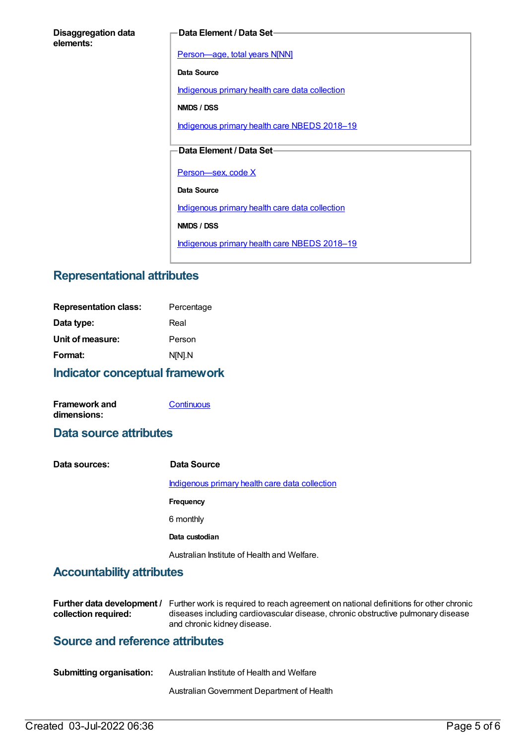#### **Disaggregation data elements:**

#### **Data Element / Data Set**

[Person—age,](https://meteor.aihw.gov.au/content/303794) total years N[NN]

**Data Source**

[Indigenous](https://meteor.aihw.gov.au/content/430643) primary health care data collection

**NMDS / DSS**

[Indigenous](https://meteor.aihw.gov.au/content/694101) primary health care NBEDS 2018-19

### **Data Element / Data Set**

Person-sex, code X

**Data Source**

[Indigenous](https://meteor.aihw.gov.au/content/430643) primary health care data collection

**NMDS / DSS**

[Indigenous](https://meteor.aihw.gov.au/content/694101) primary health care NBEDS 2018-19

# **Representational attributes**

| <b>Representation class:</b> | Percentage |  |
|------------------------------|------------|--|
| Data type:                   | Real       |  |
| Unit of measure:             | Person     |  |
| Format:                      | N[N].N     |  |
|                              |            |  |

#### **Indicator conceptual framework**

**Framework and dimensions: [Continuous](https://meteor.aihw.gov.au/content/410684)** 

# **Data source attributes**

| Data sources: | Data Source                                    |
|---------------|------------------------------------------------|
|               | Indigenous primary health care data collection |
|               | Frequency                                      |
|               | 6 monthly                                      |
|               | Data custodian                                 |
|               | Australian Institute of Health and Welfare.    |

# **Accountability attributes**

|                      | <b>Further data development</b> / Further work is required to reach agreement on national definitions for other chronic |
|----------------------|-------------------------------------------------------------------------------------------------------------------------|
| collection required: | diseases including cardiovascular disease, chronic obstructive pulmonary disease                                        |
|                      | and chronic kidney disease.                                                                                             |

# **Source and reference attributes**

| <b>Submitting organisation:</b> | Australian Institute of Health and Welfare |
|---------------------------------|--------------------------------------------|
|                                 | Australian Government Department of Health |